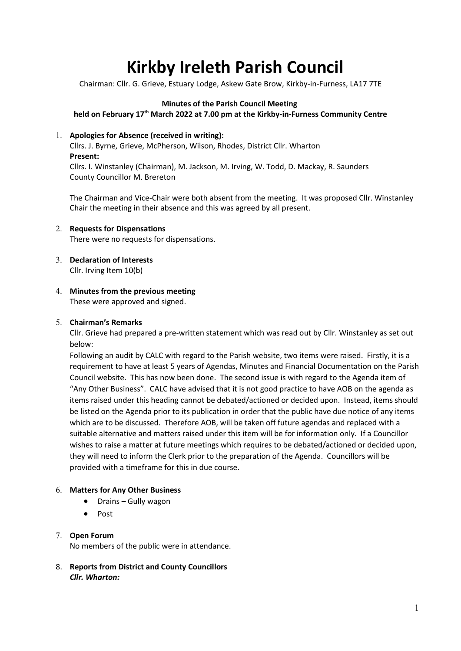# Kirkby Ireleth Parish Council

Chairman: Cllr. G. Grieve, Estuary Lodge, Askew Gate Brow, Kirkby-in-Furness, LA17 7TE

## Minutes of the Parish Council Meeting

held on February 17<sup>th</sup> March 2022 at 7.00 pm at the Kirkby-in-Furness Community Centre

#### 1. Apologies for Absence (received in writing):

Cllrs. J. Byrne, Grieve, McPherson, Wilson, Rhodes, District Cllr. Wharton Present: Cllrs. I. Winstanley (Chairman), M. Jackson, M. Irving, W. Todd, D. Mackay, R. Saunders County Councillor M. Brereton

The Chairman and Vice-Chair were both absent from the meeting. It was proposed Cllr. Winstanley Chair the meeting in their absence and this was agreed by all present.

- 2. Requests for Dispensations There were no requests for dispensations.
- 3. Declaration of Interests Cllr. Irving Item 10(b)
- 4. Minutes from the previous meeting These were approved and signed.

#### 5. Chairman's Remarks

Cllr. Grieve had prepared a pre-written statement which was read out by Cllr. Winstanley as set out below:

Following an audit by CALC with regard to the Parish website, two items were raised. Firstly, it is a requirement to have at least 5 years of Agendas, Minutes and Financial Documentation on the Parish Council website. This has now been done. The second issue is with regard to the Agenda item of "Any Other Business". CALC have advised that it is not good practice to have AOB on the agenda as items raised under this heading cannot be debated/actioned or decided upon. Instead, items should be listed on the Agenda prior to its publication in order that the public have due notice of any items which are to be discussed. Therefore AOB, will be taken off future agendas and replaced with a suitable alternative and matters raised under this item will be for information only. If a Councillor wishes to raise a matter at future meetings which requires to be debated/actioned or decided upon, they will need to inform the Clerk prior to the preparation of the Agenda. Councillors will be provided with a timeframe for this in due course.

#### 6. Matters for Any Other Business

- Drains Gully wagon
- Post

## 7. Open Forum

No members of the public were in attendance.

8. Reports from District and County Councillors Cllr. Wharton: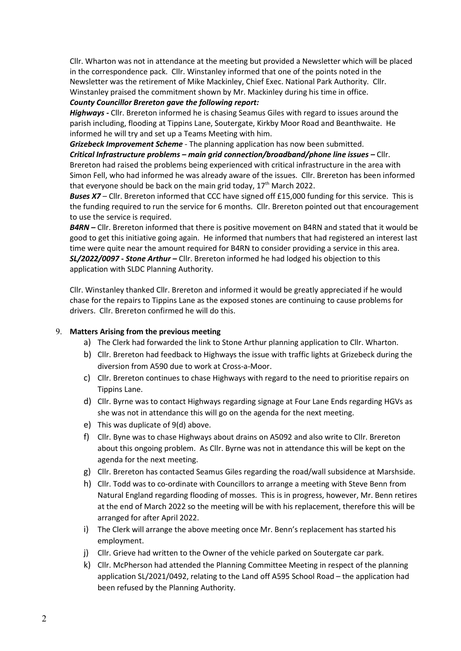Cllr. Wharton was not in attendance at the meeting but provided a Newsletter which will be placed in the correspondence pack. Cllr. Winstanley informed that one of the points noted in the Newsletter was the retirement of Mike Mackinley, Chief Exec. National Park Authority. Cllr. Winstanley praised the commitment shown by Mr. Mackinley during his time in office.

#### County Councillor Brereton gave the following report:

Highways - Cllr. Brereton informed he is chasing Seamus Giles with regard to issues around the parish including, flooding at Tippins Lane, Soutergate, Kirkby Moor Road and Beanthwaite. He informed he will try and set up a Teams Meeting with him.

Grizebeck Improvement Scheme - The planning application has now been submitted.

Critical Infrastructure problems – main grid connection/broadband/phone line issues – Cllr. Brereton had raised the problems being experienced with critical infrastructure in the area with Simon Fell, who had informed he was already aware of the issues. Cllr. Brereton has been informed that everyone should be back on the main grid today,  $17<sup>th</sup>$  March 2022.

**Buses X7** – Cllr. Brereton informed that CCC have signed off £15,000 funding for this service. This is the funding required to run the service for 6 months. Cllr. Brereton pointed out that encouragement to use the service is required.

 $\mathit{BARN}$  – Cllr. Brereton informed that there is positive movement on B4RN and stated that it would be good to get this initiative going again. He informed that numbers that had registered an interest last time were quite near the amount required for B4RN to consider providing a service in this area. SL/2022/0097 - Stone Arthur – Cllr. Brereton informed he had lodged his objection to this application with SLDC Planning Authority.

Cllr. Winstanley thanked Cllr. Brereton and informed it would be greatly appreciated if he would chase for the repairs to Tippins Lane as the exposed stones are continuing to cause problems for drivers. Cllr. Brereton confirmed he will do this.

#### 9. Matters Arising from the previous meeting

- a) The Clerk had forwarded the link to Stone Arthur planning application to Cllr. Wharton.
- b) Cllr. Brereton had feedback to Highways the issue with traffic lights at Grizebeck during the diversion from A590 due to work at Cross-a-Moor.
- c) Cllr. Brereton continues to chase Highways with regard to the need to prioritise repairs on Tippins Lane.
- d) Cllr. Byrne was to contact Highways regarding signage at Four Lane Ends regarding HGVs as she was not in attendance this will go on the agenda for the next meeting.
- e) This was duplicate of 9(d) above.
- f) Cllr. Byne was to chase Highways about drains on A5092 and also write to Cllr. Brereton about this ongoing problem. As Cllr. Byrne was not in attendance this will be kept on the agenda for the next meeting.
- g) Cllr. Brereton has contacted Seamus Giles regarding the road/wall subsidence at Marshside.
- h) Cllr. Todd was to co-ordinate with Councillors to arrange a meeting with Steve Benn from Natural England regarding flooding of mosses. This is in progress, however, Mr. Benn retires at the end of March 2022 so the meeting will be with his replacement, therefore this will be arranged for after April 2022.
- i) The Clerk will arrange the above meeting once Mr. Benn's replacement has started his employment.
- j) Cllr. Grieve had written to the Owner of the vehicle parked on Soutergate car park.
- k) Cllr. McPherson had attended the Planning Committee Meeting in respect of the planning application SL/2021/0492, relating to the Land off A595 School Road – the application had been refused by the Planning Authority.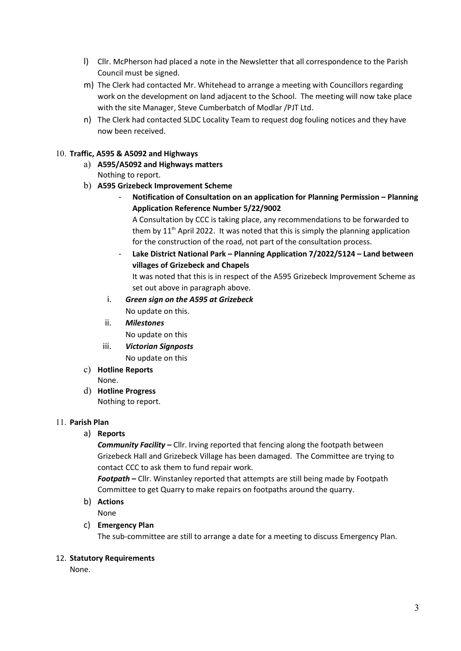- l) Cllr. McPherson had placed a note in the Newsletter that all correspondence to the Parish Council must be signed.
- m) The Clerk had contacted Mr. Whitehead to arrange a meeting with Councillors regarding work on the development on land adjacent to the School. The meeting will now take place with the site Manager, Steve Cumberbatch of Modlar /PJT Ltd.
- n) The Clerk had contacted SLDC Locality Team to request dog fouling notices and they have now been received.

# 10. Traffic, A595 & A5092 and Highways

- a) A595/A5092 and Highways matters Nothing to report.
- b) A595 Grizebeck Improvement Scheme
	- Notification of Consultation on an application for Planning Permission Planning Application Reference Number 5/22/9002

A Consultation by CCC is taking place, any recommendations to be forwarded to them by  $11<sup>th</sup>$  April 2022. It was noted that this is simply the planning application for the construction of the road, not part of the consultation process.

Lake District National Park – Planning Application 7/2022/5124 – Land between villages of Grizebeck and Chapels

It was noted that this is in respect of the A595 Grizebeck Improvement Scheme as set out above in paragraph above.

- i. Green sign on the A595 at Grizebeck No update on this.
- ii. Milestones No update on this
- iii. Victorian Signposts No update on this
- c) Hotline Reports None.
- d) Hotline Progress Nothing to report.

## 11. Parish Plan

a) Reports

**Community Facility – Cllr. Irving reported that fencing along the footpath between** Grizebeck Hall and Grizebeck Village has been damaged. The Committee are trying to contact CCC to ask them to fund repair work.

Footpath – Cllr. Winstanley reported that attempts are still being made by Footpath Committee to get Quarry to make repairs on footpaths around the quarry.

b) Actions

None

c) Emergency Plan

The sub-committee are still to arrange a date for a meeting to discuss Emergency Plan.

## 12. Statutory Requirements

None.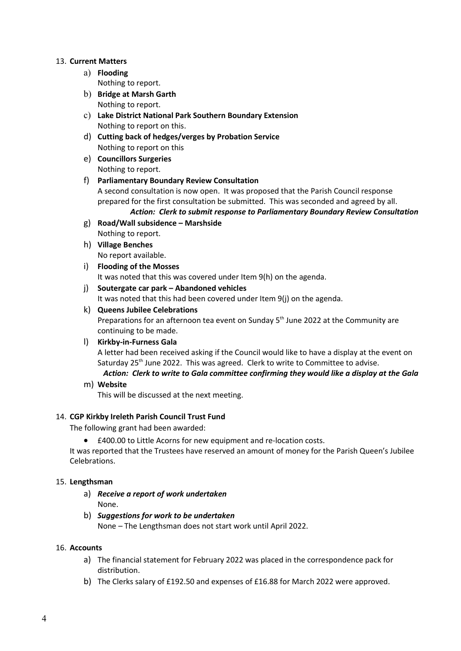### 13. Current Matters

- a) Flooding Nothing to report.
- b) Bridge at Marsh Garth Nothing to report.
- c) Lake District National Park Southern Boundary Extension Nothing to report on this.
- d) Cutting back of hedges/verges by Probation Service Nothing to report on this
- e) Councillors Surgeries Nothing to report.
- f) Parliamentary Boundary Review Consultation A second consultation is now open. It was proposed that the Parish Council response prepared for the first consultation be submitted. This was seconded and agreed by all. Action: Clerk to submit response to Parliamentary Boundary Review Consultation
- g) Road/Wall subsidence Marshside Nothing to report.
- h) Village Benches No report available.
- i) Flooding of the Mosses It was noted that this was covered under Item 9(h) on the agenda.
- j) Soutergate car park Abandoned vehicles It was noted that this had been covered under Item 9(j) on the agenda.

# k) Queens Jubilee Celebrations

Preparations for an afternoon tea event on Sunday 5<sup>th</sup> June 2022 at the Community are continuing to be made.

## l) Kirkby-in-Furness Gala

A letter had been received asking if the Council would like to have a display at the event on Saturday 25<sup>th</sup> June 2022. This was agreed. Clerk to write to Committee to advise. Action: Clerk to write to Gala committee confirming they would like a display at the Gala

m) Website

This will be discussed at the next meeting.

## 14. CGP Kirkby Ireleth Parish Council Trust Fund

The following grant had been awarded:

£400.00 to Little Acorns for new equipment and re-location costs.

It was reported that the Trustees have reserved an amount of money for the Parish Queen's Jubilee Celebrations.

#### 15. Lengthsman

- a) Receive a report of work undertaken None.
- b) Suggestions for work to be undertaken None – The Lengthsman does not start work until April 2022.

#### 16. Accounts

- a) The financial statement for February 2022 was placed in the correspondence pack for distribution.
- b) The Clerks salary of £192.50 and expenses of £16.88 for March 2022 were approved.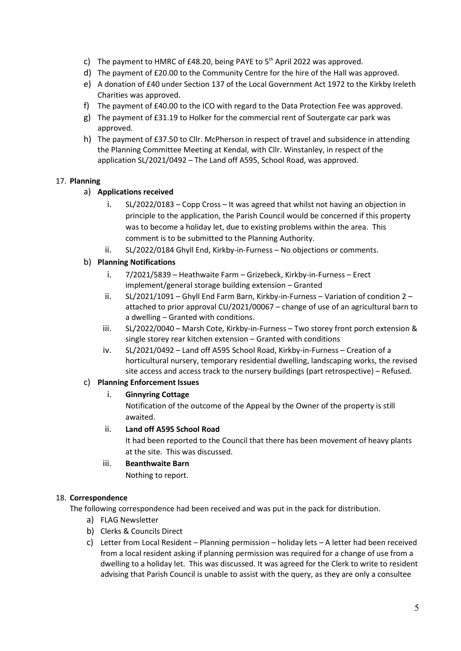- c) The payment to HMRC of £48.20, being PAYE to  $5<sup>th</sup>$  April 2022 was approved.
- d) The payment of £20.00 to the Community Centre for the hire of the Hall was approved.
- e) A donation of £40 under Section 137 of the Local Government Act 1972 to the Kirkby Ireleth Charities was approved.
- f) The payment of £40.00 to the ICO with regard to the Data Protection Fee was approved.
- g) The payment of £31.19 to Holker for the commercial rent of Soutergate car park was approved.
- h) The payment of £37.50 to Cllr. McPherson in respect of travel and subsidence in attending the Planning Committee Meeting at Kendal, with Cllr. Winstanley, in respect of the application SL/2021/0492 – The Land off A595, School Road, was approved.

# 17. Planning

# a) Applications received

- i. SL/2022/0183 Copp Cross It was agreed that whilst not having an objection in principle to the application, the Parish Council would be concerned if this property was to become a holiday let, due to existing problems within the area. This comment is to be submitted to the Planning Authority.
- ii. SL/2022/0184 Ghyll End, Kirkby-in-Furness No objections or comments.

# b) Planning Notifications

- i. 7/2021/5839 Heathwaite Farm Grizebeck, Kirkby-in-Furness Erect implement/general storage building extension – Granted
- ii. SL/2021/1091 Ghyll End Farm Barn, Kirkby-in-Furness Variation of condition 2 attached to prior approval CU/2021/00067 – change of use of an agricultural barn to a dwelling – Granted with conditions.
- iii. SL/2022/0040 Marsh Cote, Kirkby-in-Furness Two storey front porch extension & single storey rear kitchen extension – Granted with conditions
- iv. SL/2021/0492 Land off A595 School Road, Kirkby-in-Furness Creation of a horticultural nursery, temporary residential dwelling, landscaping works, the revised site access and access track to the nursery buildings (part retrospective) – Refused.

## c) Planning Enforcement Issues

## i. Ginnyring Cottage

Notification of the outcome of the Appeal by the Owner of the property is still awaited.

## ii. Land off A595 School Road

It had been reported to the Council that there has been movement of heavy plants at the site. This was discussed.

## iii. Beanthwaite Barn

Nothing to report.

## 18. Correspondence

The following correspondence had been received and was put in the pack for distribution.

- a) FLAG Newsletter
- b) Clerks & Councils Direct
- c) Letter from Local Resident Planning permission holiday lets A letter had been received from a local resident asking if planning permission was required for a change of use from a dwelling to a holiday let. This was discussed. It was agreed for the Clerk to write to resident advising that Parish Council is unable to assist with the query, as they are only a consultee